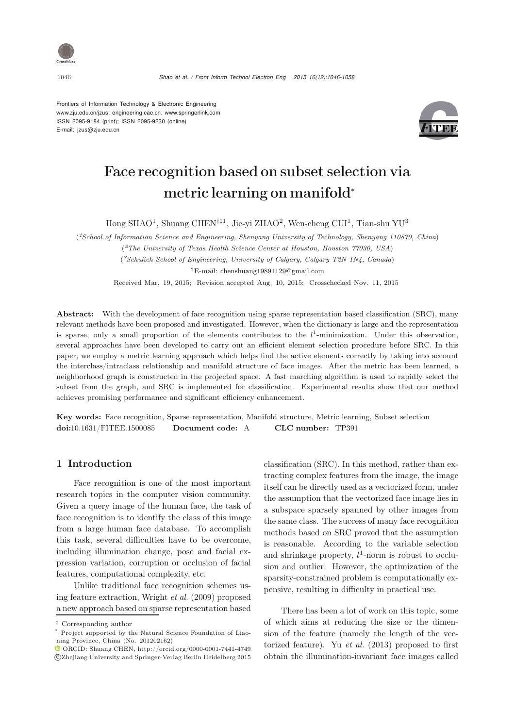

Frontiers of Information Technology & Electronic Engineering www.zju.edu.cn/jzus; engineering.cae.cn; www.springerlink.com ISSN 2095-9184 (print); ISSN 2095-9230 (online) E-mail: jzus@zju.edu.cn



# Face recognition based on subset selection via metric learning on manifold<sup>∗</sup>

Hong SHAO<sup>1</sup>, Shuang CHEN<sup>††1</sup>, Jie-yi ZHAO<sup>2</sup>, Wen-cheng CUI<sup>1</sup>, Tian-shu YU<sup>3</sup>

(*1School of Information Science and Engineering, Shenyang University of Technology, Shenyang 110870, China*)

(*2The University of Texas Health Science Center at Houston, Houston 77030, USA*)

(*3Schulich School of Engineering, University of Calgary, Calgary T2N 1N4, Canada*)

*†*E-mail: chenshuang19891129@gmail.com

Received Mar. 19, 2015; Revision accepted Aug. 10, 2015; Crosschecked Nov. 11, 2015

Abstract: With the development of face recognition using sparse representation based classification (SRC), many relevant methods have been proposed and investigated. However, when the dictionary is large and the representation is sparse, only a small proportion of the elements contributes to the  $l^1$ -minimization. Under this observation, several approaches have been developed to carry out an efficient element selection procedure before SRC. In this paper, we employ a metric learning approach which helps find the active elements correctly by taking into account the interclass/intraclass relationship and manifold structure of face images. After the metric has been learned, a neighborhood graph is constructed in the projected space. A fast marching algorithm is used to rapidly select the subset from the graph, and SRC is implemented for classification. Experimental results show that our method achieves promising performance and significant efficiency enhancement.

Key words: Face recognition, Sparse representation, Manifold structure, Metric learning, Subset selection doi:10.1631/FITEE.1500085 Document code: A CLC number: TP391

### 1 Introduction

Face recognition is one of the most important research topics in the computer vision community. Given a query image of the human face, the task of face recognition is to identify the class of this image from a large human face database. To accomplish this task, several difficulties have to be overcome, including illumination change, pose and facial expression variation, corruption or occlusion of facial features, computational complexity, etc.

Unlike traditional face recognition schemes using feature extraction, [Wright](#page-12-0) *et al.* [\(2009\)](#page-12-0) proposed a new approach based on sparse representation based

classification (SRC). In this method, rather than extracting complex features from the image, the image itself can be directly used as a vectorized form, under the assumption that the vectorized face image lies in a subspace sparsely spanned by other images from the same class. The success of many face recognition methods based on SRC proved that the assumption is reasonable. According to the variable selection and shrinkage property,  $l^1$ -norm is robust to occlusion and outlier. However, the optimization of the sparsity-constrained problem is computationally expensive, resulting in difficulty in practical use.

There has been a lot of work on this topic, some of which aims at reducing the size or the dimension of the feature (namely the length of the vectorized feature). Yu *[et al.](#page-12-1)* [\(2013](#page-12-1)) proposed to first obtain the illumination-invariant face images called

*<sup>‡</sup>* Corresponding author

Project supported by the Natural Science Foundation of Liaoning Province, China (No. 201202162)

ORCID: Shuang CHEN, http://orcid.org/0000-0001-7441-4749 c Zhejiang University and Springer-Verlag Berlin Heidelberg 2015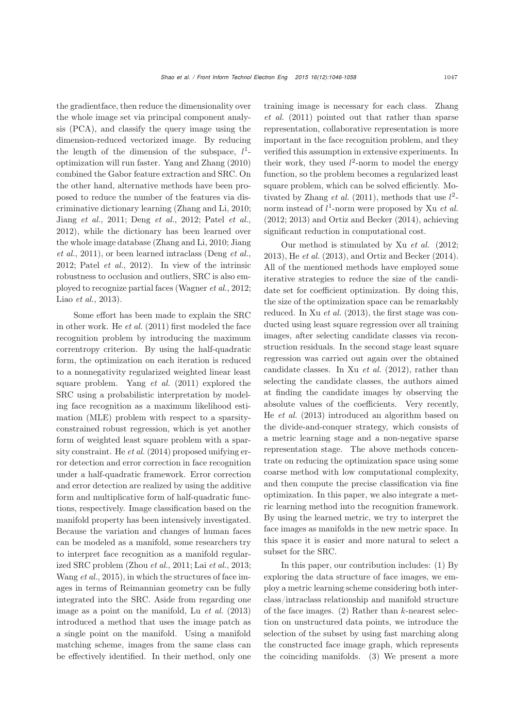the gradientface, then reduce the dimensionality over the whole image set via principal component analysis (PCA), and classify the query image using the dimension-reduced vectorized image. By reducing the length of the dimension of the subspace,  $l^1$ optimization will run faster. [Yang and Zhang](#page-12-2) [\(2010](#page-12-2)) combined the Gabor feature extraction and SRC. On the other hand, alternative methods have been proposed to reduce the number of the features via discriminative dictionary learning [\(Zhang and Li](#page-12-3), [2010;](#page-12-3) [Jiang](#page-12-4) *et al.*, [2011](#page-12-4); [Deng](#page-11-0) *et al.*, [2012;](#page-11-0) [Patel](#page-12-5) *et al.*, [2012](#page-12-5)), while the dictionary has been learned over the [whole](#page-12-4) [image](#page-12-4) [database](#page-12-4) [\(Zhang and Li](#page-12-3)[,](#page-12-4) [2010](#page-12-3)[;](#page-12-4) Jiang *et al.*, [2011\)](#page-12-4), or been learned intraclass [\(Deng](#page-11-0) *et al.*, [2012](#page-11-0); [Patel](#page-12-5) *et al.*, [2012](#page-12-5)). In view of the intrinsic robustness to occlusion and outliers, SRC is also employed to recognize partial faces [\(Wagner](#page-12-6) *et al.*, [2012;](#page-12-6) Liao *[et al.](#page-12-7)*, [2013\)](#page-12-7).

Some effort has been made to explain the SRC in other work. He *[et al.](#page-11-1)* [\(2011\)](#page-11-1) first modeled the face recognition problem by introducing the maximum correntropy criterion. By using the half-quadratic form, the optimization on each iteration is reduced to a nonnegativity regularized weighted linear least square problem. [Yang](#page-12-8) *et al.* [\(2011\)](#page-12-8) explored the SRC using a probabilistic interpretation by modeling face recognition as a maximum likelihood estimation (MLE) problem with respect to a sparsityconstrained robust regression, which is yet another form of weighted least square problem with a sparsity constraint. He *[et al.](#page-11-2)* [\(2014\)](#page-11-2) proposed unifying error detection and error correction in face recognition under a half-quadratic framework. Error correction and error detection are realized by using the additive form and multiplicative form of half-quadratic functions, respectively. Image classification based on the manifold property has been intensively investigated. Because the variation and changes of human faces can be modeled as a manifold, some researchers try to interpret face recognition as a manifold regularized SRC problem [\(Zhou](#page-12-9) *et al.*, [2011;](#page-12-9) Lai *[et al.](#page-12-10)*, [2013;](#page-12-10) [Wang](#page-12-11) *et al.*, [2015](#page-12-11)), in which the structures of face images in terms of Reimannian geometry can be fully integrated into the SRC. Aside from regarding one image as a point on the manifold, Lu *[et al.](#page-12-12)* [\(2013](#page-12-12)) introduced a method that uses the image patch as a single point on the manifold. Using a manifold matching scheme, images from the same class can be effectively identified. In their method, only one train[ing](#page-12-13) [image](#page-12-13) [is](#page-12-13) [necessary](#page-12-13) [for](#page-12-13) [each](#page-12-13) [class.](#page-12-13) Zhang *et al.* [\(2011\)](#page-12-13) pointed out that rather than sparse representation, collaborative representation is more important in the face recognition problem, and they verified this assumption in extensive experiments. In their work, they used  $l^2$ -norm to model the energy function, so the problem becomes a regularized least square problem, which can be solved efficiently. Mo-tivated by [Zhang](#page-12-13) *et al.* [\(2011](#page-12-13)), methods that use  $l^2$ norm instead of l <sup>1</sup>-norm were proposed by Xu *et al.* (2012; 2013) and [Ortiz and Becker](#page-12-14) [\(2014](#page-12-14)), achieving significant reduction in computational cost.

Our method is stimulated by Xu *et al.* (2012; 2013), He *[et al.](#page-11-3)* [\(2013](#page-11-3)), and [Ortiz and Becker](#page-12-14) [\(2014\)](#page-12-14). All of the mentioned methods have employed some iterative strategies to reduce the size of the candidate set for coefficient optimization. By doing this, the size of the optimization space can be remarkably reduced. In Xu *[et al.](#page-12-15)* [\(2013\)](#page-12-15), the first stage was conducted using least square regression over all training images, after selecting candidate classes via reconstruction residuals. In the second stage least square regression was carried out again over the obtained candidate classes. In Xu *[et al.](#page-12-16)* [\(2012](#page-12-16)), rather than selecting the candidate classes, the authors aimed at finding the candidate images by observing the absolute values of the coefficients. Very recently, He *[et al.](#page-11-3)* [\(2013\)](#page-11-3) introduced an algorithm based on the divide-and-conquer strategy, which consists of a metric learning stage and a non-negative sparse representation stage. The above methods concentrate on reducing the optimization space using some coarse method with low computational complexity, and then compute the precise classification via fine optimization. In this paper, we also integrate a metric learning method into the recognition framework. By using the learned metric, we try to interpret the face images as manifolds in the new metric space. In this space it is easier and more natural to select a subset for the SRC.

In this paper, our contribution includes: (1) By exploring the data structure of face images, we employ a metric learning scheme considering both interclass/intraclass relationship and manifold structure of the face images.  $(2)$  Rather than k-nearest selection on unstructured data points, we introduce the selection of the subset by using fast marching along the constructed face image graph, which represents the coinciding manifolds. (3) We present a more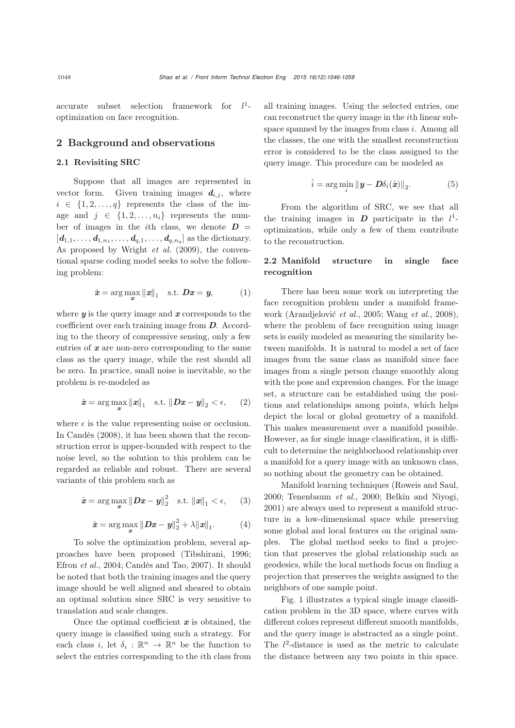accurate subset selection framework for  $l^1$ optimization on face recognition.

### 2 Background and observations

#### 2.1 Revisiting SRC

Suppose that all images are represented in vector form. Given training images  $d_{i,j}$ , where  $i \in \{1, 2, ..., q\}$  represents the class of the image and  $j \in \{1, 2, ..., n_i\}$  represents the number of images in the *i*th class, we denote  $\boldsymbol{D}$  =  $[d_{1,1},..., d_{1,n_1},..., d_{q,1},..., d_{q,n_q}]$  as the dictionary. As proposed by [Wright](#page-12-0) *et al.* [\(2009](#page-12-0)), the conventional sparse coding model seeks to solve the following problem:

$$
\hat{\boldsymbol{x}} = \arg \max_{\boldsymbol{x}} \|\boldsymbol{x}\|_1 \quad \text{s.t.} \ \boldsymbol{D}\boldsymbol{x} = \boldsymbol{y}, \tag{1}
$$

where *y* is the query image and *x* corresponds to the coefficient over each training image from *D*. According to the theory of compressive sensing, only a few entries of *x* are non-zero corresponding to the same class as the query image, while the rest should all be zero. In practice, small noise is inevitable, so the problem is re-modeled as

$$
\hat{\boldsymbol{x}} = \arg \max_{\boldsymbol{x}} \|\boldsymbol{x}\|_1 \quad \text{s.t.} \|\boldsymbol{D}\boldsymbol{x} - \boldsymbol{y}\|_2 < \epsilon, \qquad (2)
$$

where  $\epsilon$  is the value representing noise or occlusion. In [Candès](#page-11-4) [\(2008\)](#page-11-4), it has been shown that the reconstruction error is upper-bounded with respect to the noise level, so the solution to this problem can be regarded as reliable and robust. There are several variants of this problem such as

$$
\hat{\boldsymbol{x}} = \arg \max_{\boldsymbol{x}} \|\boldsymbol{D}\boldsymbol{x} - \boldsymbol{y}\|_2^2 \quad \text{s.t.} \|\boldsymbol{x}\|_1 < \epsilon, \qquad (3)
$$

$$
\hat{x} = \arg\max_{\bm{x}} \| \bm{D}\bm{x} - \bm{y} \|_2^2 + \lambda \| \bm{x} \|_1. \tag{4}
$$

To solve the optimization problem, several approaches have been proposed [\(Tibshirani, 1996;](#page-12-17) [Efron](#page-11-5) *et al.*, [2004;](#page-11-5) [Candès and Tao](#page-11-6), [2007\)](#page-11-6). It should be noted that both the training images and the query image should be well aligned and sheared to obtain an optimal solution since SRC is very sensitive to translation and scale changes.

Once the optimal coefficient *x* is obtained, the query image is classified using such a strategy. For each class *i*, let  $\delta_i : \mathbb{R}^n \to \mathbb{R}^n$  be the function to select the entries corresponding to the ith class from

all training images. Using the selected entries, one can reconstruct the query image in the ith linear subspace spanned by the images from class  $i$ . Among all the classes, the one with the smallest reconstruction error is considered to be the class assigned to the query image. This procedure can be modeled as

$$
\hat{i} = \arg\min_{i} \|\mathbf{y} - \mathbf{D}\delta_i(\hat{\mathbf{x}})\|_2.
$$
 (5)

From the algorithm of SRC, we see that all the training images in  $D$  participate in the  $l^1$ optimization, while only a few of them contribute to the reconstruction.

# 2.2 Manifold structure in single face recognition

There has been some work on interpreting the face recognition problem under a manifold framework [\(Arandjelović](#page-11-7) *et al.*, [2005;](#page-11-7) [Wang](#page-12-18) *et al.*, [2008\)](#page-12-18), where the problem of face recognition using image sets is easily modeled as measuring the similarity between manifolds. It is natural to model a set of face images from the same class as manifold since face images from a single person change smoothly along with the pose and expression changes. For the image set, a structure can be established using the positions and relationships among points, which helps depict the local or global geometry of a manifold. This makes measurement over a manifold possible. However, as for single image classification, it is difficult to determine the neighborhood relationship over a manifold for a query image with an unknown class, so nothing about the geometry can be obtained.

Manifold learning techniques [\(Roweis and Saul](#page-12-19), [2000](#page-12-19); [Tenenbaum](#page-12-20) *et al.*, [2000;](#page-12-20) [Belkin and Niyogi](#page-11-8), [2001](#page-11-8)) are always used to represent a manifold structure in a low-dimensional space while preserving some global and local features on the original samples. The global method seeks to find a projection that preserves the global relationship such as geodesics, while the local methods focus on finding a projection that preserves the weights assigned to the neighbors of one sample point.

Fig. 1 illustrates a typical single image classification problem in the 3D space, where curves with different colors represent different smooth manifolds, and the query image is abstracted as a single point. The  $l^2$ -distance is used as the metric to calculate the distance between any two points in this space.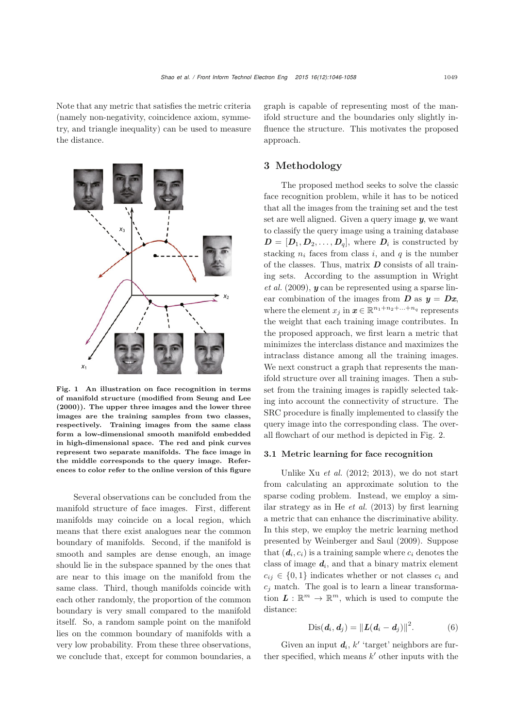Note that any metric that satisfies the metric criteria (namely non-negativity, coincidence axiom, symmetry, and triangle inequality) can be used to measure the distance.



Fig. 1 An illustration on face recognition in terms of manifold structure (modified from Seung and Lee (2000)). The upper three images and the lower three images are the training samples from two classes, respectively. Training images from the same class form a low-dimensional smooth manifold embedded in high-dimensional space. The red and pink curves represent two separate manifolds. The face image in the middle corresponds to the query image. References to color refer to the online version of this figure

Several observations can be concluded from the manifold structure of face images. First, different manifolds may coincide on a local region, which means that there exist analogues near the common boundary of manifolds. Second, if the manifold is smooth and samples are dense enough, an image should lie in the subspace spanned by the ones that are near to this image on the manifold from the same class. Third, though manifolds coincide with each other randomly, the proportion of the common boundary is very small compared to the manifold itself. So, a random sample point on the manifold lies on the common boundary of manifolds with a very low probability. From these three observations, we conclude that, except for common boundaries, a graph is capable of representing most of the manifold structure and the boundaries only slightly influence the structure. This motivates the proposed approach.

# 3 Methodology

The proposed method seeks to solve the classic face recognition problem, while it has to be noticed that all the images from the training set and the test set are well aligned. Given a query image *y*, we want to classify the query image using a training database  $D = [D_1, D_2, \ldots, D_q]$ , where  $D_i$  is constructed by stacking  $n_i$  faces from class i, and  $q$  is the number of the classes. Thus, matrix *D* consists of all training [sets.](#page-12-0) [According](#page-12-0) [to](#page-12-0) [the](#page-12-0) [assumption](#page-12-0) [in](#page-12-0) Wright *et al.* [\(2009](#page-12-0)), *y* can be represented using a sparse linear combination of the images from  $\boldsymbol{D}$  as  $\boldsymbol{v} = \boldsymbol{D}\boldsymbol{x}$ , where the element  $x_j$  in  $\boldsymbol{x} \in \mathbb{R}^{n_1+n_2+\ldots+n_q}$  represents the weight that each training image contributes. In the proposed approach, we first learn a metric that minimizes the interclass distance and maximizes the intraclass distance among all the training images. We next construct a graph that represents the manifold structure over all training images. Then a subset from the training images is rapidly selected taking into account the connectivity of structure. The SRC procedure is finally implemented to classify the query image into the corresponding class. The overall flowchart of our method is depicted in Fig. 2.

#### 3.1 Metric learning for face recognition

Unlike Xu *et al.* (2012; 2013), we do not start from calculating an approximate solution to the sparse coding problem. Instead, we employ a similar strategy as in He *[et al.](#page-11-3)* [\(2013\)](#page-11-3) by first learning a metric that can enhance the discriminative ability. In this step, we employ the metric learning method presented by [Weinberger and Saul](#page-12-21) [\(2009](#page-12-21)). Suppose that  $(d_i, c_i)$  is a training sample where  $c_i$  denotes the class of image  $d_i$ , and that a binary matrix element  $c_{ij} \in \{0,1\}$  indicates whether or not classes  $c_i$  and  $c_i$  match. The goal is to learn a linear transformation  $\mathbf{L} : \mathbb{R}^m \to \mathbb{R}^m$ , which is used to compute the distance:

$$
Dis(d_i, d_j) = ||L(d_i - d_j)||^2.
$$
 (6)

Given an input  $d_i$ ,  $k'$  'target' neighbors are further specified, which means  $k'$  other inputs with the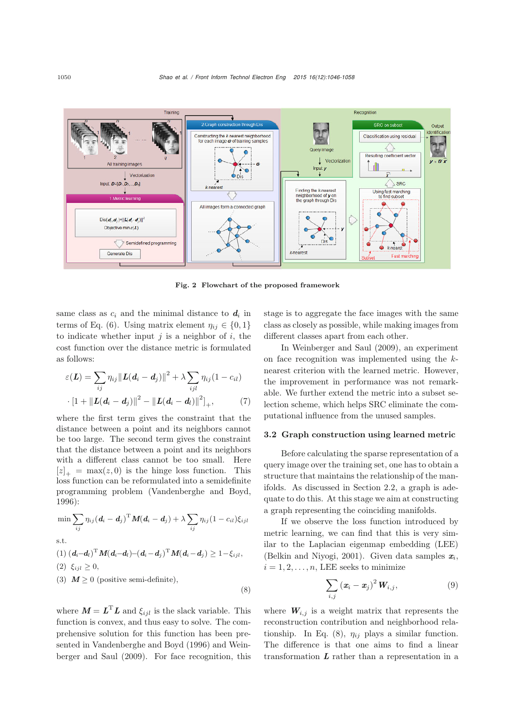

Fig. 2 Flowchart of the proposed framework

(8)

same class as  $c_i$  and the minimal distance to  $d_i$  in terms of Eq. (6). Using matrix element  $\eta_{ij} \in \{0, 1\}$ to indicate whether input  $j$  is a neighbor of  $i$ , the cost function over the distance metric is formulated as follows:

$$
\varepsilon(\mathbf{L}) = \sum_{ij} \eta_{ij} ||\mathbf{L}(\mathbf{d}_i - \mathbf{d}_j)||^2 + \lambda \sum_{ijl} \eta_{ij} (1 - c_{il})
$$
  
 
$$
\cdot [1 + ||\mathbf{L}(\mathbf{d}_i - \mathbf{d}_j)||^2 - ||\mathbf{L}(\mathbf{d}_i - \mathbf{d}_l)||^2]_+, \tag{7}
$$

where the first term gives the constraint that the distance between a point and its neighbors cannot be too large. The second term gives the constraint that the distance between a point and its neighbors with a different class cannot be too small. Here  $[z]_+ = \max(z, 0)$  is the hinge loss function. This loss function can be reformulated into a semidefinite programming problem [\(Vandenberghe and Boyd,](#page-12-22) [1996](#page-12-22)):

$$
\min \sum_{ij} \eta_{ij} (\boldsymbol{d}_i - \boldsymbol{d}_j)^{\mathrm{T}} \boldsymbol{M} (\boldsymbol{d}_i - \boldsymbol{d}_j) + \lambda \sum_{ij} \eta_{ij} (1 - c_{il}) \xi_{ijl}
$$
 s.t.

(1) 
$$
(\mathbf{d}_i - \mathbf{d}_l)^{\mathrm{T}} \mathbf{M} (\mathbf{d}_i - \mathbf{d}_i) - (\mathbf{d}_i - \mathbf{d}_j)^{\mathrm{T}} \mathbf{M} (\mathbf{d}_i - \mathbf{d}_j) \ge 1 - \xi_{ijl},
$$
  
(2)  $\xi_{ijl} \ge 0,$   
(3)  $\mathbf{M} \ge 0$  (positive semi-definite),

where  $M = L<sup>T</sup>L$  and  $\xi_{ijl}$  is the slack variable. This function is convex, and thus easy to solve. The comprehensive solution for this function has been presented in [Vandenberghe and Boyd](#page-12-22) [\(1996](#page-12-22)[\)](#page-12-21) [and](#page-12-21) Weinberger and Saul [\(2009](#page-12-21)). For face recognition, this stage is to aggregate the face images with the same class as closely as possible, while making images from different classes apart from each other.

In [Weinberger and Saul](#page-12-21) [\(2009\)](#page-12-21), an experiment on face recognition was implemented using the knearest criterion with the learned metric. However, the improvement in performance was not remarkable. We further extend the metric into a subset selection scheme, which helps SRC eliminate the computational influence from the unused samples.

#### 3.2 Graph construction using learned metric

Before calculating the sparse representation of a query image over the training set, one has to obtain a structure that maintains the relationship of the manifolds. As discussed in Section 2.2, a graph is adequate to do this. At this stage we aim at constructing a graph representing the coinciding manifolds.

If we observe the loss function introduced by metric learning, we can find that this is very similar to the Laplacian eigenmap embedding (LEE) [\(Belkin and Niyogi, 2001](#page-11-8)). Given data samples *xi*,  $i = 1, 2, \ldots, n$ , LEE seeks to minimize

$$
\sum_{i,j} \left( \boldsymbol{x}_i - \boldsymbol{x}_j \right)^2 \boldsymbol{W}_{i,j}, \tag{9}
$$

where  $W_{i,j}$  is a weight matrix that represents the reconstruction contribution and neighborhood relationship. In Eq.  $(8)$ ,  $\eta_{ij}$  plays a similar function. The difference is that one aims to find a linear transformation *L* rather than a representation in a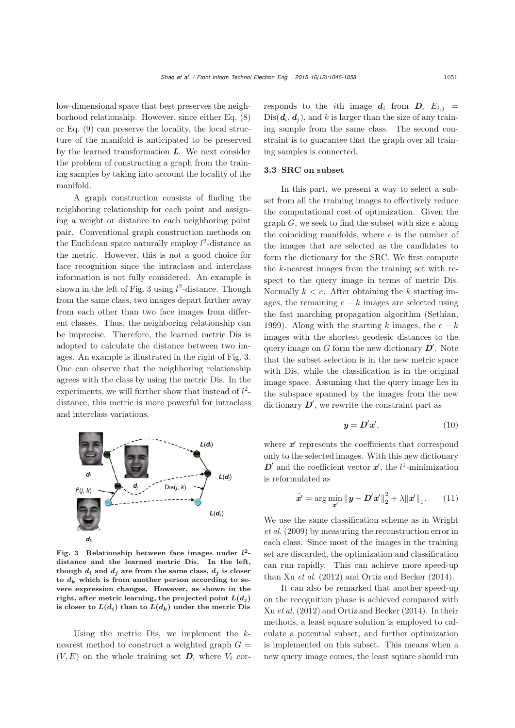low-dimensional space that best preserves the neighborhood relationship. However, since either Eq. (8) or Eq. (9) can preserve the locality, the local structure of the manifold is anticipated to be preserved by the learned transformation *L*. We next consider the problem of constructing a graph from the training samples by taking into account the locality of the manifold.

A graph construction consists of finding the neighboring relationship for each point and assigning a weight or distance to each neighboring point pair. Conventional graph construction methods on the Euclidean space naturally employ  $l^2$ -distance as the metric. However, this is not a good choice for face recognition since the intraclass and interclass information is not fully considered. An example is shown in the left of Fig. 3 using  $l^2$ -distance. Though from the same class, two images depart farther away from each other than two face images from different classes. Thus, the neighboring relationship can be imprecise. Therefore, the learned metric Dis is adopted to calculate the distance between two images. An example is illustrated in the right of Fig. 3. One can observe that the neighboring relationship agrees with the class by using the metric Dis. In the experiments, we will further show that instead of  $l^2$ distance, this metric is more powerful for intraclass and interclass variations.



Fig. 3 Relationship between face images under *l***2** distance and the learned metric Dis. In the left, though  $d_i$  and  $d_j$  are from the same class,  $d_j$  is closer to  $d_k$  which is from another person according to severe expression changes. However, as shown in the right, after metric learning, the projected point  $L(d_j)$ is closer to  $L(d_i)$  than to  $L(d_k)$  under the metric Dis

Using the metric Dis, we implement the  $k$ nearest method to construct a weighted graph  $G =$  $(V, E)$  on the whole training set  $D$ , where  $V_i$  corresponds to the *i*th image  $d_i$  from  $D$ ,  $E_{i,j}$  =  $Dis(**d**<sub>i</sub>, **d**<sub>j</sub>)$ , and k is larger than the size of any training sample from the same class. The second constraint is to guarantee that the graph over all training samples is connected.

#### 3.3 SRC on subset

In this part, we present a way to select a subset from all the training images to effectively reduce the computational cost of optimization. Given the graph  $G$ , we seek to find the subset with size  $e$  along the coinciding manifolds, where  $e$  is the number of the images that are selected as the candidates to form the dictionary for the SRC. We first compute the k-nearest images from the training set with respect to the query image in terms of metric Dis. Normally  $k \leq e$ . After obtaining the k starting images, the remaining  $e - k$  images are selected using the fast marching propagation algorithm [\(Sethian](#page-12-23), [1999](#page-12-23)). Along with the starting k images, the  $e - k$ images with the shortest geodesic distances to the query image on  $G$  form the new dictionary  $D'$ . Note that the subset selection is in the new metric space with Dis, while the classification is in the original image space. Assuming that the query image lies in the subspace spanned by the images from the new dictionary  $D'$ , we rewrite the constraint part as

$$
\mathbf{y} = \mathbf{D}'\mathbf{x}',\tag{10}
$$

where  $x'$  represents the coefficients that correspond only to the selected images. With this new dictionary  $D'$  and the coefficient vector  $x'$ , the  $l^1$ -minimization is reformulated as

$$
\hat{\mathbf{x}}' = \arg\min_{\mathbf{z}'} \|\mathbf{y} - \mathbf{D}'\mathbf{x}'\|_2^2 + \lambda \|\mathbf{x}'\|_1. \qquad (11)
$$

We [use](#page-12-0) [the](#page-12-0) [same](#page-12-0) [classification](#page-12-0) [scheme](#page-12-0) [as](#page-12-0) [in](#page-12-0) Wright *et al.* [\(2009](#page-12-0)) by measuring the reconstruction error in each class. Since most of the images in the training set are discarded, the optimization and classification can run rapidly. This can achieve more speed-up than Xu *[et al.](#page-12-16)* [\(2012\)](#page-12-16) and [Ortiz and Becker](#page-12-14) [\(2014\)](#page-12-14).

It can also be remarked that another speed-up on the recognition phase is achieved compared with Xu *[et al.](#page-12-16)* [\(2012\)](#page-12-16) and [Ortiz and Becker](#page-12-14) [\(2014](#page-12-14)). In their methods, a least square solution is employed to calculate a potential subset, and further optimization is implemented on this subset. This means when a new query image comes, the least square should run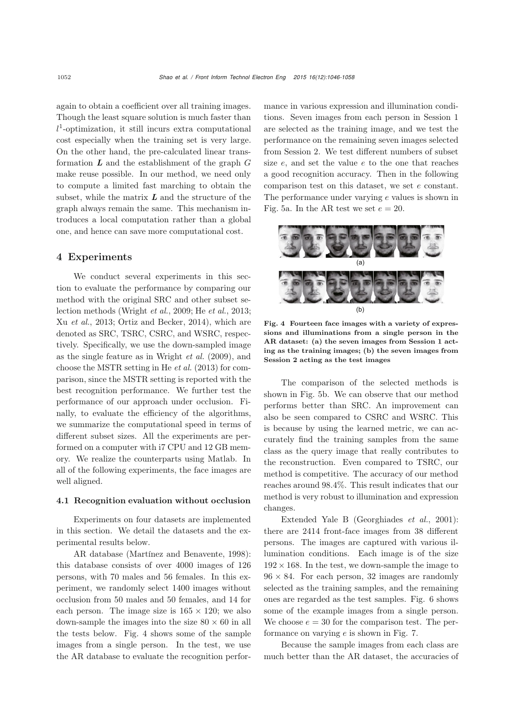again to obtain a coefficient over all training images. Though the least square solution is much faster than l <sup>1</sup>-optimization, it still incurs extra computational cost especially when the training set is very large. On the other hand, the pre-calculated linear transformation *L* and the establishment of the graph G make reuse possible. In our method, we need only to compute a limited fast marching to obtain the subset, while the matrix *L* and the structure of the graph always remain the same. This mechanism introduces a local computation rather than a global one, and hence can save more computational cost.

# 4 Experiments

We conduct several experiments in this section to evaluate the performance by comparing our method with the original SRC and other subset selection methods [\(Wright](#page-12-0) *et al.*, [2009](#page-12-0); He *[et al.](#page-11-3)*, [2013;](#page-11-3) Xu *[et al.](#page-12-15)*, [2013](#page-12-15); [Ortiz and Becker, 2014](#page-12-14)), which are denoted as SRC, TSRC, CSRC, and WSRC, respectively. Specifically, we use the down-sampled image as the single feature as in [Wright](#page-12-0) *et al.* [\(2009](#page-12-0)), and choose the MSTR setting in He *[et al.](#page-11-3)* [\(2013\)](#page-11-3) for comparison, since the MSTR setting is reported with the best recognition performance. We further test the performance of our approach under occlusion. Finally, to evaluate the efficiency of the algorithms, we summarize the computational speed in terms of different subset sizes. All the experiments are performed on a computer with i7 CPU and 12 GB memory. We realize the counterparts using Matlab. In all of the following experiments, the face images are well aligned.

#### 4.1 Recognition evaluation without occlusion

Experiments on four datasets are implemented in this section. We detail the datasets and the experimental results below.

AR database [\(Martínez and Benavente](#page-12-24), [1998\)](#page-12-24): this database consists of over 4000 images of 126 persons, with 70 males and 56 females. In this experiment, we randomly select 1400 images without occlusion from 50 males and 50 females, and 14 for each person. The image size is  $165 \times 120$ ; we also down-sample the images into the size  $80 \times 60$  in all the tests below. Fig. 4 shows some of the sample images from a single person. In the test, we use the AR database to evaluate the recognition performance in various expression and illumination conditions. Seven images from each person in Session 1 are selected as the training image, and we test the performance on the remaining seven images selected from Session 2. We test different numbers of subset size e, and set the value e to the one that reaches a good recognition accuracy. Then in the following comparison test on this dataset, we set e constant. The performance under varying  $e$  values is shown in Fig. 5a. In the AR test we set  $e = 20$ .



Fig. 4 Fourteen face images with a variety of expressions and illuminations from a single person in the AR dataset: (a) the seven images from Session 1 acting as the training images; (b) the seven images from Session 2 acting as the test images

The comparison of the selected methods is shown in Fig. 5b. We can observe that our method performs better than SRC. An improvement can also be seen compared to CSRC and WSRC. This is because by using the learned metric, we can accurately find the training samples from the same class as the query image that really contributes to the reconstruction. Even compared to TSRC, our method is competitive. The accuracy of our method reaches around 98.4%. This result indicates that our method is very robust to illumination and expression changes.

Extended Yale B [\(Georghiades](#page-11-9) *et al.*, [2001\)](#page-11-9): there are 2414 front-face images from 38 different persons. The images are captured with various illumination conditions. Each image is of the size  $192 \times 168$ . In the test, we down-sample the image to  $96 \times 84$ . For each person, 32 images are randomly selected as the training samples, and the remaining ones are regarded as the test samples. Fig. 6 shows some of the example images from a single person. We choose  $e = 30$  for the comparison test. The performance on varying e is shown in Fig. 7.

Because the sample images from each class are much better than the AR dataset, the accuracies of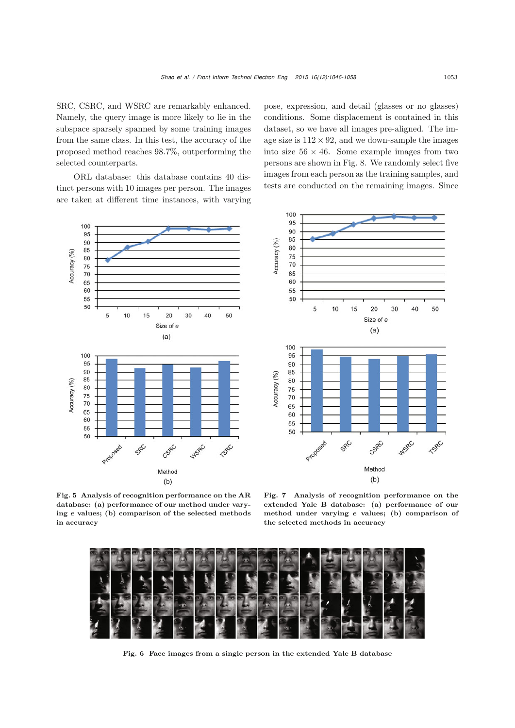SRC, CSRC, and WSRC are remarkably enhanced. Namely, the query image is more likely to lie in the subspace sparsely spanned by some training images from the same class. In this test, the accuracy of the proposed method reaches 98.7%, outperforming the selected counterparts.

ORL database: this database contains 40 distinct persons with 10 images per person. The images are taken at different time instances, with varying pose, expression, and detail (glasses or no glasses) conditions. Some displacement is contained in this dataset, so we have all images pre-aligned. The image size is  $112 \times 92$ , and we down-sample the images into size  $56 \times 46$ . Some example images from two persons are shown in Fig. 8. We randomly select five images from each person as the training samples, and tests are conducted on the remaining images. Since





Fig. 5 Analysis of recognition performance on the AR database: (a) performance of our method under varying *e* values; (b) comparison of the selected methods in accuracy

Fig. 7 Analysis of recognition performance on the extended Yale B database: (a) performance of our method under varying *e* values; (b) comparison of the selected methods in accuracy



Fig. 6 Face images from a single person in the extended Yale B database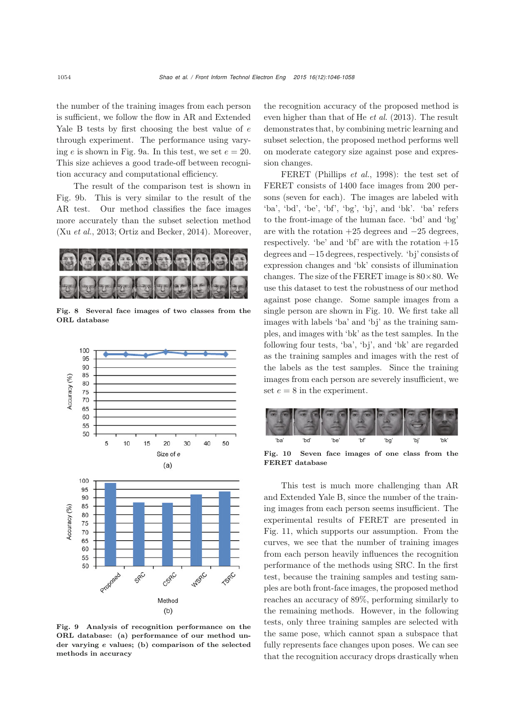the number of the training images from each person is sufficient, we follow the flow in AR and Extended Yale B tests by first choosing the best value of e through experiment. The performance using varying e is shown in Fig. 9a. In this test, we set  $e = 20$ . This size achieves a good trade-off between recognition accuracy and computational efficiency.

The result of the comparison test is shown in Fig. 9b. This is very similar to the result of the AR test. Our method classifies the face images more accurately than the subset selection method (Xu *[et al.](#page-12-15)*, [2013;](#page-12-15) [Ortiz and Becker](#page-12-14), [2014\)](#page-12-14). Moreover,



Fig. 8 Several face images of two classes from the ORL database



Fig. 9 Analysis of recognition performance on the ORL database: (a) performance of our method under varying *e* values; (b) comparison of the selected methods in accuracy

the recognition accuracy of the proposed method is even higher than that of He *[et al.](#page-11-3)* [\(2013](#page-11-3)). The result demonstrates that, by combining metric learning and subset selection, the proposed method performs well on moderate category size against pose and expression changes.

FERET [\(Phillips](#page-12-25) *et al.*, [1998\)](#page-12-25): the test set of FERET consists of 1400 face images from 200 persons (seven for each). The images are labeled with 'ba', 'bd', 'be', 'bf', 'bg', 'bj', and 'bk'. 'ba' refers to the front-image of the human face. 'bd' and 'bg' are with the rotation +25 degrees and <sup>−</sup>25 degrees, respectively. 'be' and 'bf' are with the rotation  $+15$ degrees and <sup>−</sup>15 degrees, respectively. 'bj' consists of expression changes and 'bk' consists of illumination changes. The size of the FERET image is  $80 \times 80$ . We use this dataset to test the robustness of our method against pose change. Some sample images from a single person are shown in Fig. 10. We first take all images with labels 'ba' and 'bj' as the training samples, and images with 'bk' as the test samples. In the following four tests, 'ba', 'bj', and 'bk' are regarded as the training samples and images with the rest of the labels as the test samples. Since the training images from each person are severely insufficient, we set  $e = 8$  in the experiment.



Fig. 10 Seven face images of one class from the FERET database

This test is much more challenging than AR and Extended Yale B, since the number of the training images from each person seems insufficient. The experimental results of FERET are presented in Fig. 11, which supports our assumption. From the curves, we see that the number of training images from each person heavily influences the recognition performance of the methods using SRC. In the first test, because the training samples and testing samples are both front-face images, the proposed method reaches an accuracy of 89%, performing similarly to the remaining methods. However, in the following tests, only three training samples are selected with the same pose, which cannot span a subspace that fully represents face changes upon poses. We can see that the recognition accuracy drops drastically when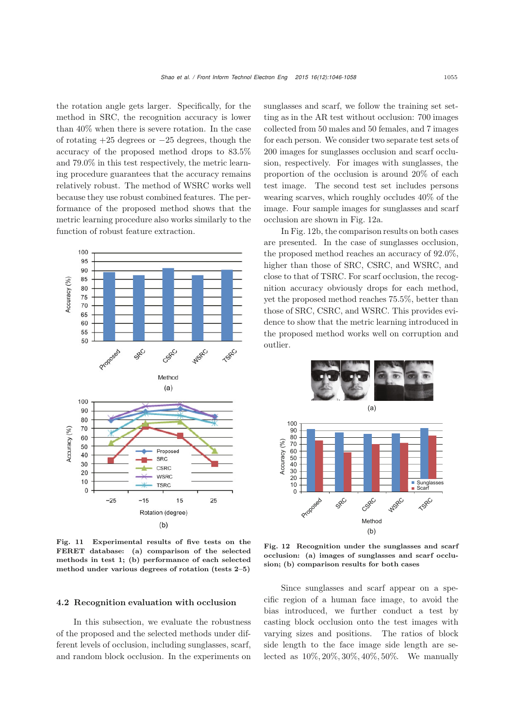the rotation angle gets larger. Specifically, for the method in SRC, the recognition accuracy is lower than 40% when there is severe rotation. In the case of rotating  $+25$  degrees or  $-25$  degrees, though the accuracy of the proposed method drops to 83.5% and 79.0% in this test respectively, the metric learning procedure guarantees that the accuracy remains relatively robust. The method of WSRC works well because they use robust combined features. The performance of the proposed method shows that the metric learning procedure also works similarly to the function of robust feature extraction.



Fig. 11 Experimental results of five tests on the FERET database: (a) comparison of the selected methods in test 1; (b) performance of each selected method under various degrees of rotation (tests 2–5)

#### 4.2 Recognition evaluation with occlusion

In this subsection, we evaluate the robustness of the proposed and the selected methods under different levels of occlusion, including sunglasses, scarf, and random block occlusion. In the experiments on

sunglasses and scarf, we follow the training set setting as in the AR test without occlusion: 700 images collected from 50 males and 50 females, and 7 images for each person. We consider two separate test sets of 200 images for sunglasses occlusion and scarf occlusion, respectively. For images with sunglasses, the proportion of the occlusion is around 20% of each test image. The second test set includes persons wearing scarves, which roughly occludes 40% of the image. Four sample images for sunglasses and scarf occlusion are shown in Fig. 12a.

In Fig. 12b, the comparison results on both cases are presented. In the case of sunglasses occlusion, the proposed method reaches an accuracy of 92.0%, higher than those of SRC, CSRC, and WSRC, and close to that of TSRC. For scarf occlusion, the recognition accuracy obviously drops for each method, yet the proposed method reaches 75.5%, better than those of SRC, CSRC, and WSRC. This provides evidence to show that the metric learning introduced in the proposed method works well on corruption and outlier.



Fig. 12 Recognition under the sunglasses and scarf occlusion: (a) images of sunglasses and scarf occlusion; (b) comparison results for both cases

Since sunglasses and scarf appear on a specific region of a human face image, to avoid the bias introduced, we further conduct a test by casting block occlusion onto the test images with varying sizes and positions. The ratios of block side length to the face image side length are selected as 10%, 20%, 30%, 40%, 50%. We manually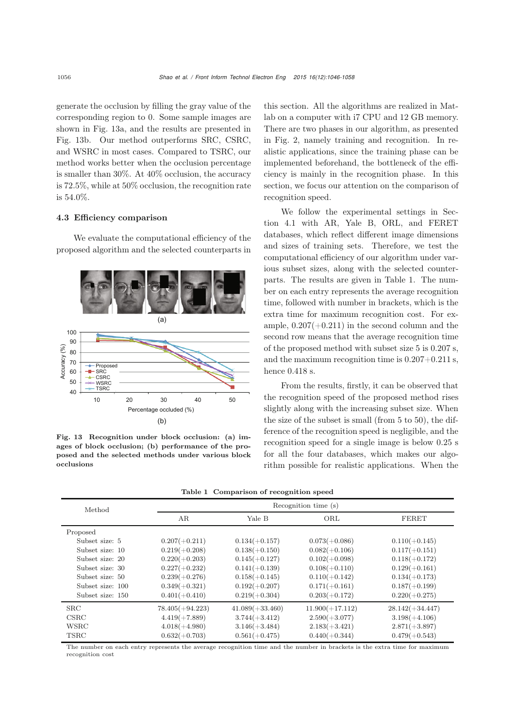generate the occlusion by filling the gray value of the corresponding region to 0. Some sample images are shown in Fig. 13a, and the results are presented in Fig. 13b. Our method outperforms SRC, CSRC, and WSRC in most cases. Compared to TSRC, our method works better when the occlusion percentage is smaller than 30%. At 40% occlusion, the accuracy is 72.5%, while at 50% occlusion, the recognition rate is 54.0%.

# 4.3 Efficiency comparison

We evaluate the computational efficiency of the proposed algorithm and the selected counterparts in



Fig. 13 Recognition under block occlusion: (a) images of block occlusion; (b) performance of the proposed and the selected methods under various block occlusions

this section. All the algorithms are realized in Matlab on a computer with i7 CPU and 12 GB memory. There are two phases in our algorithm, as presented in Fig. 2, namely training and recognition. In realistic applications, since the training phase can be implemented beforehand, the bottleneck of the efficiency is mainly in the recognition phase. In this section, we focus our attention on the comparison of recognition speed.

We follow the experimental settings in Section 4.1 with AR, Yale B, ORL, and FERET databases, which reflect different image dimensions and sizes of training sets. Therefore, we test the computational efficiency of our algorithm under various subset sizes, along with the selected counterparts. The results are given in Table 1. The number on each entry represents the average recognition time, followed with number in brackets, which is the extra time for maximum recognition cost. For example,  $0.207(+0.211)$  in the second column and the second row means that the average recognition time of the proposed method with subset size 5 is 0.207 s, and the maximum recognition time is  $0.207+0.211$  s, hence 0.418 s.

From the results, firstly, it can be observed that the recognition speed of the proposed method rises slightly along with the increasing subset size. When the size of the subset is small (from 5 to 50), the difference of the recognition speed is negligible, and the recognition speed for a single image is below 0.25 s for all the four databases, which makes our algorithm possible for realistic applications. When the

|  | Table 1 Comparison of recognition speed |  |
|--|-----------------------------------------|--|
|  |                                         |  |

| Method           | Recognition time (s) |                   |                   |                   |  |
|------------------|----------------------|-------------------|-------------------|-------------------|--|
|                  | AR                   | Yale B            | ORL               | <b>FERET</b>      |  |
| Proposed         |                      |                   |                   |                   |  |
| Subset size: 5   | $0.207(+0.211)$      | $0.134(+0.157)$   | $0.073(+0.086)$   | $0.110(+0.145)$   |  |
| Subset size: 10  | $0.219(+0.208)$      | $0.138(+0.150)$   | $0.082(+0.106)$   | $0.117(+0.151)$   |  |
| Subset size: 20  | $0.220(+0.203)$      | $0.145(+0.127)$   | $0.102(+0.098)$   | $0.118(+0.172)$   |  |
| Subset size: 30  | $0.227(+0.232)$      | $0.141(+0.139)$   | $0.108(+0.110)$   | $0.129(+0.161)$   |  |
| Subset size: 50  | $0.239(+0.276)$      | $0.158(+0.145)$   | $0.110(+0.142)$   | $0.134(+0.173)$   |  |
| Subset size: 100 | $0.349(+0.321)$      | $0.192(+0.207)$   | $0.171(+0.161)$   | $0.187(+0.199)$   |  |
| Subset size: 150 | $0.401(+0.410)$      | $0.219(+0.304)$   | $0.203(+0.172)$   | $0.220(+0.275)$   |  |
| SRC              | $78.405(+94.223)$    | $41.089(+33.460)$ | $11.900(+17.112)$ | $28.142(+34.447)$ |  |
| $\text{CSRC}$    | $4.419(+7.889)$      | $3.744(+3.412)$   | $2.590(+3.077)$   | $3.198(+4.106)$   |  |
| <b>WSRC</b>      | $4.018(+4.980)$      | $3.146(+3.484)$   | $2.183(+3.421)$   | $2.871(+3.897)$   |  |
| <b>TSRC</b>      | $0.632(+0.703)$      | $0.561(+0.475)$   | $0.440(+0.344)$   | $0.479(+0.543)$   |  |

The number on each entry represents the average recognition time and the number in brackets is the extra time for maximum recognition cost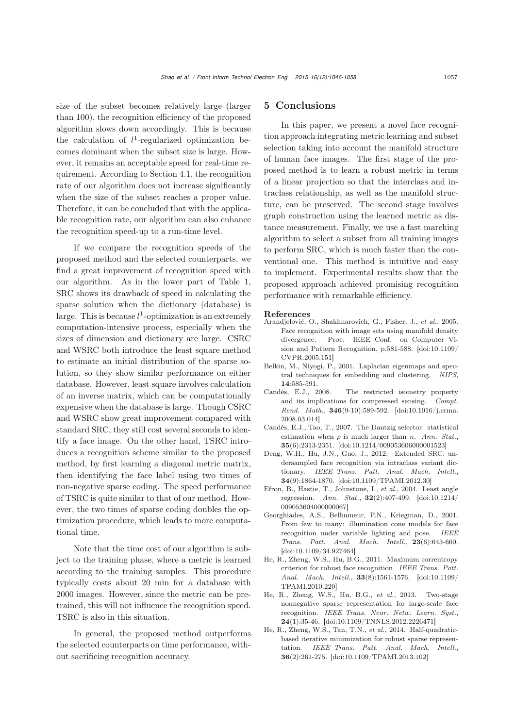size of the subset becomes relatively large (larger than 100), the recognition efficiency of the proposed algorithm slows down accordingly. This is because the calculation of  $l^1$ -regularized optimization becomes dominant when the subset size is large. However, it remains an acceptable speed for real-time requirement. According to Section 4.1, the recognition rate of our algorithm does not increase significantly when the size of the subset reaches a proper value. Therefore, it can be concluded that with the applicable recognition rate, our algorithm can also enhance the recognition speed-up to a run-time level.

If we compare the recognition speeds of the proposed method and the selected counterparts, we find a great improvement of recognition speed with our algorithm. As in the lower part of Table 1, SRC shows its drawback of speed in calculating the sparse solution when the dictionary (database) is large. This is because  $l^1$ -optimization is an extremely computation-intensive process, especially when the sizes of dimension and dictionary are large. CSRC and WSRC both introduce the least square method to estimate an initial distribution of the sparse solution, so they show similar performance on either database. However, least square involves calculation of an inverse matrix, which can be computationally expensive when the database is large. Though CSRC and WSRC show great improvement compared with standard SRC, they still cost several seconds to identify a face image. On the other hand, TSRC introduces a recognition scheme similar to the proposed method, by first learning a diagonal metric matrix, then identifying the face label using two times of non-negative sparse coding. The speed performance of TSRC is quite similar to that of our method. However, the two times of sparse coding doubles the optimization procedure, which leads to more computational time.

Note that the time cost of our algorithm is subject to the training phase, where a metric is learned according to the training samples. This procedure typically costs about 20 min for a database with 2000 images. However, since the metric can be pretrained, this will not influence the recognition speed. TSRC is also in this situation.

In general, the proposed method outperforms the selected counterparts on time performance, without sacrificing recognition accuracy.

# 5 Conclusions

In this paper, we present a novel face recognition approach integrating metric learning and subset selection taking into account the manifold structure of human face images. The first stage of the proposed method is to learn a robust metric in terms of a linear projection so that the interclass and intraclass relationship, as well as the manifold structure, can be preserved. The second stage involves graph construction using the learned metric as distance measurement. Finally, we use a fast marching algorithm to select a subset from all training images to perform SRC, which is much faster than the conventional one. This method is intuitive and easy to implement. Experimental results show that the proposed approach achieved promising recognition performance with remarkable efficiency.

#### References

- <span id="page-11-7"></span>Arandjelović, O., Shakhnarovich, G., Fisher, J., *et al.*, 2005. Face recognition with image sets using manifold density divergence. Proc. IEEE Conf. on Computer Vision and Pattern Recognition, p.581-588. [\[doi:10.1109/](http://dx.doi.org/10.1109/CVPR.2005.151) [CVPR.2005.151\]](http://dx.doi.org/10.1109/CVPR.2005.151)
- <span id="page-11-8"></span>Belkin, M., Niyogi, P., 2001. Laplacian eigenmaps and spectral techniques for embedding and clustering. *NIPS*, 14:585-591.
- <span id="page-11-4"></span>Candès, E.J., 2008. The restricted isometry property and its implications for compressed sensing. *Compt. Rend. Math.*, 346(9-10):589-592. [\[doi:10.1016/j.crma.](http://dx.doi.org/10.1016/j.crma.2008.03.014) [2008.03.014\]](http://dx.doi.org/10.1016/j.crma.2008.03.014)
- <span id="page-11-6"></span>Candès, E.J., Tao, T., 2007. The Dantzig selector: statistical estimation when *p* is much larger than *n*. *Ann. Stat.*, 35(6):2313-2351. [\[doi:10.1214/009053606000001523\]](http://dx.doi.org/10.1214/009053606000001523)
- <span id="page-11-0"></span>Deng, W.H., Hu, J.N., Guo, J., 2012. Extended SRC: undersampled face recognition via intraclass variant dictionary. *IEEE Trans. Patt. Anal. Mach. Intell.*, 34(9):1864-1870. [\[doi:10.1109/TPAMI.2012.30\]](http://dx.doi.org/10.1109/TPAMI.2012.30)
- <span id="page-11-5"></span>Efron, B., Hastie, T., Johnstone, I., *et al.*, 2004. Least angle regression. *Ann. Stat.*, 32(2):407-499. [\[doi:10.1214/](http://dx.doi.org/10.1214/009053604000000067) [009053604000000067\]](http://dx.doi.org/10.1214/009053604000000067)
- <span id="page-11-9"></span>Georghiades, A.S., Belhumeur, P.N., Kriegman, D., 2001. From few to many: illumination cone models for face recognition under variable lighting and pose. *IEEE Trans. Patt. Anal. Mach. Intell.*, 23(6):643-660. [\[doi:10.1109/34.927464\]](http://dx.doi.org/10.1109/34.927464)
- <span id="page-11-1"></span>He, R., Zheng, W.S., Hu, B.G., 2011. Maximum correntropy criterion for robust face recognition. *IEEE Trans. Patt. Anal. Mach. Intell.*, 33(8):1561-1576. [\[doi:10.1109/](http://dx.doi.org/10.1109/TPAMI.2010.220) [TPAMI.2010.220\]](http://dx.doi.org/10.1109/TPAMI.2010.220)
- <span id="page-11-3"></span>He, R., Zheng, W.S., Hu, B.G., *et al.*, 2013. Two-stage nonnegative sparse representation for large-scale face recognition. *IEEE Trans. Neur. Netw. Learn. Syst.*, 24(1):35-46. [\[doi:10.1109/TNNLS.2012.2226471\]](http://dx.doi.org/10.1109/TNNLS.2012.2226471)
- <span id="page-11-2"></span>He, R., Zheng, W.S., Tan, T.N., *et al.*, 2014. Half-quadraticbased iterative minimization for robust sparse representation. *IEEE Trans. Patt. Anal. Mach. Intell.*, 36(2):261-275. [\[doi:10.1109/TPAMI.2013.102\]](http://dx.doi.org/10.1109/TPAMI.2013.102)